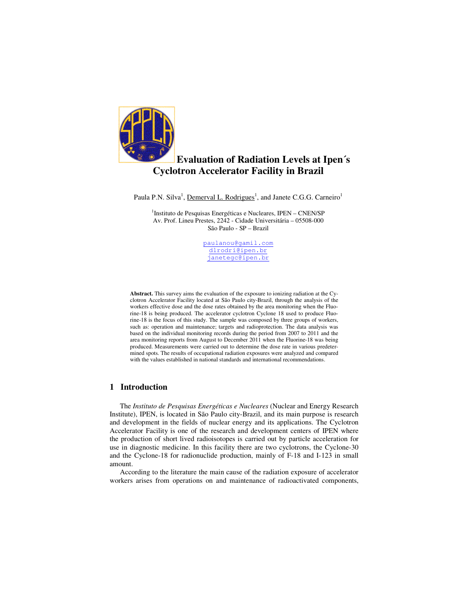

# **Evaluation of Radiation Levels at Ipen´s Cyclotron Accelerator Facility in Brazil**

Paula P.N. Silva<sup>1</sup>, Demerval L. Rodrigues<sup>1</sup>, and Janete C.G.G. Carneiro<sup>1</sup>

<sup>1</sup>Instituto de Pesquisas Energéticas e Nucleares, IPEN - CNEN/SP Av. Prof. Lineu Prestes, 2242 - Cidade Universitária – 05508-000 São Paulo - SP – Brazil

> paulanou@gamil.com dlrodri@ipen.br janetegc@ipen.br

**Abstract.** This survey aims the evaluation of the exposure to ionizing radiation at the Cyclotron Accelerator Facility located at São Paulo city-Brazil, through the analysis of the workers effective dose and the dose rates obtained by the area monitoring when the Fluorine-18 is being produced. The accelerator cyclotron Cyclone 18 used to produce Fluorine-18 is the focus of this study. The sample was composed by three groups of workers, such as: operation and maintenance; targets and radioprotection. The data analysis was based on the individual monitoring records during the period from 2007 to 2011 and the area monitoring reports from August to December 2011 when the Fluorine-18 was being produced. Measurements were carried out to determine the dose rate in various predetermined spots. The results of occupational radiation exposures were analyzed and compared with the values established in national standards and international recommendations.

## **1 Introduction**

The *Instituto de Pesquisas Energéticas e Nucleares* (Nuclear and Energy Research Institute), IPEN, is located in São Paulo city-Brazil, and its main purpose is research and development in the fields of nuclear energy and its applications. The Cyclotron Accelerator Facility is one of the research and development centers of IPEN where the production of short lived radioisotopes is carried out by particle acceleration for use in diagnostic medicine. In this facility there are two cyclotrons, the Cyclone-30 and the Cyclone-18 for radionuclide production, mainly of F-18 and I-123 in small amount.

According to the literature the main cause of the radiation exposure of accelerator workers arises from operations on and maintenance of radioactivated components,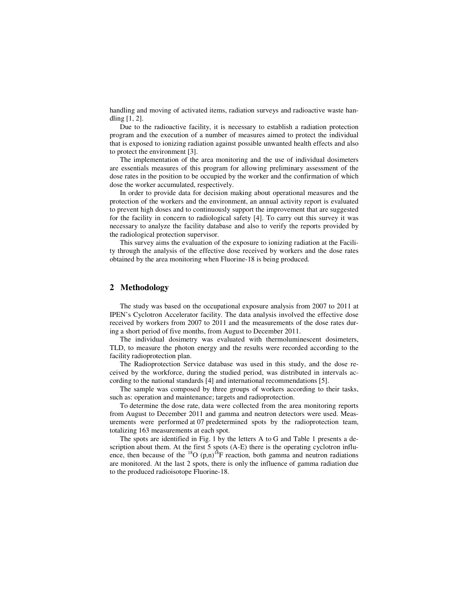handling and moving of activated items, radiation surveys and radioactive waste handling [1, 2].

Due to the radioactive facility, it is necessary to establish a radiation protection program and the execution of a number of measures aimed to protect the individual that is exposed to ionizing radiation against possible unwanted health effects and also to protect the environment [3].

The implementation of the area monitoring and the use of individual dosimeters are essentials measures of this program for allowing preliminary assessment of the dose rates in the position to be occupied by the worker and the confirmation of which dose the worker accumulated, respectively.

In order to provide data for decision making about operational measures and the protection of the workers and the environment, an annual activity report is evaluated to prevent high doses and to continuously support the improvement that are suggested for the facility in concern to radiological safety [4]. To carry out this survey it was necessary to analyze the facility database and also to verify the reports provided by the radiological protection supervisor.

This survey aims the evaluation of the exposure to ionizing radiation at the Facility through the analysis of the effective dose received by workers and the dose rates obtained by the area monitoring when Fluorine-18 is being produced.

## **2 Methodology**

The study was based on the occupational exposure analysis from 2007 to 2011 at IPEN's Cyclotron Accelerator facility. The data analysis involved the effective dose received by workers from 2007 to 2011 and the measurements of the dose rates during a short period of five months, from August to December 2011.

The individual dosimetry was evaluated with thermoluminescent dosimeters, TLD, to measure the photon energy and the results were recorded according to the facility radioprotection plan.

The Radioprotection Service database was used in this study, and the dose received by the workforce, during the studied period, was distributed in intervals according to the national standards [4] and international recommendations [5].

The sample was composed by three groups of workers according to their tasks, such as: operation and maintenance; targets and radioprotection.

To determine the dose rate, data were collected from the area monitoring reports from August to December 2011 and gamma and neutron detectors were used. Measurements were performed at 07 predetermined spots by the radioprotection team, totalizing 163 measurements at each spot.

The spots are identified in Fig. 1 by the letters A to G and Table 1 presents a description about them. At the first 5 spots (A-E) there is the operating cyclotron influence, then because of the  ${}^{18}O(p,n){}^{18}F$  reaction, both gamma and neutron radiations are monitored. At the last 2 spots, there is only the influence of gamma radiation due to the produced radioisotope Fluorine-18.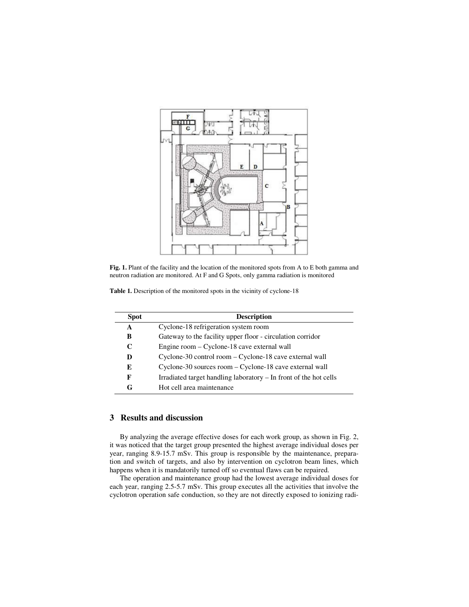

Fig. 1. Plant of the facility and the location of the monitored spots from A to E both gamma and neutron radiation are monitored. At F and G Spots, only gamma radiation is monitored

| Table 1. Description of the monitored spots in the vicinity of cyclone-18 |  |  |  |  |
|---------------------------------------------------------------------------|--|--|--|--|
|---------------------------------------------------------------------------|--|--|--|--|

| <b>Spot</b> | <b>Description</b>                                                |  |  |  |  |
|-------------|-------------------------------------------------------------------|--|--|--|--|
| A           | Cyclone-18 refrigeration system room                              |  |  |  |  |
| В           | Gateway to the facility upper floor - circulation corridor        |  |  |  |  |
| C           | Engine room – Cyclone-18 cave external wall                       |  |  |  |  |
| D           | Cyclone-30 control room – Cyclone-18 cave external wall           |  |  |  |  |
| E           | Cyclone-30 sources room - Cyclone-18 cave external wall           |  |  |  |  |
| F           | Irradiated target handling laboratory – In front of the hot cells |  |  |  |  |
| G           | Hot cell area maintenance                                         |  |  |  |  |

## **3 Results and discussion**

By analyzing the average effective doses for each work group, as shown in Fig. 2, it was noticed that the target group presented the highest average individual doses per year, ranging 8.9-15.7 mSv. This group is responsible by the maintenance, preparation and switch of targets, and also by intervention on cyclotron beam lines, which happens when it is mandatorily turned off so eventual flaws can be repaired.

The operation and maintenance group had the lowest average individual doses for each year, ranging 2.5-5.7 mSv. This group executes all the activities that involve the cyclotron operation safe conduction, so they are not directly exposed to ionizing radi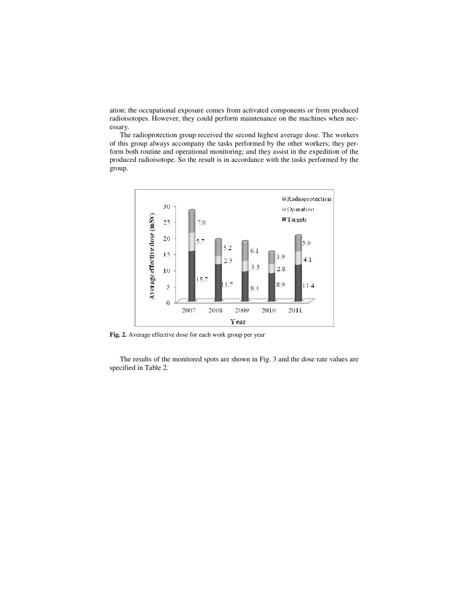ation; the occupational exposure comes from activated components or from produced radioisotopes. However, they could perform maintenance on the machines when necessary.

The radioprotection group received the second highest average dose. The workers of this group always accompany the tasks performed by the other workers; they perform both routine and operational monitoring; and they assist in the expedition of the produced radioisotope. So the result is in accordance with the tasks performed by the group.



**Fig. 2.** Average effective dose for each work group per year

The results of the monitored spots are shown in Fig. 3 and the dose rate values are specified in Table 2.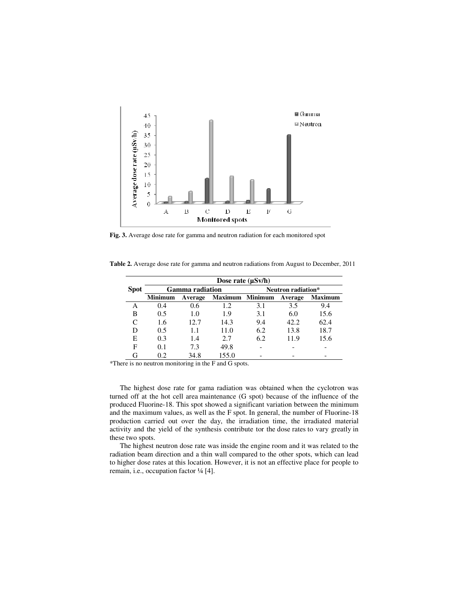

**Fig. 3.** Average dose rate for gamma and neutron radiation for each monitored spot

|             | Dose rate $(\mu Sv/h)$ |         |                 |                    |         |                |  |
|-------------|------------------------|---------|-----------------|--------------------|---------|----------------|--|
| <b>Spot</b> | <b>Gamma</b> radiation |         |                 | Neutron radiation* |         |                |  |
|             | <b>Minimum</b>         | Average | Maximum Minimum |                    | Average | <b>Maximum</b> |  |
| А           | 0.4                    | 0.6     | 1.2             | 3.1                | 3.5     | 9.4            |  |
| В           | 0.5                    | 1.0     | 1.9             | 3.1                | 6.0     | 15.6           |  |
| C           | 1.6                    | 12.7    | 14.3            | 9.4                | 42.2    | 62.4           |  |
| D           | 0.5                    | 1.1     | 11.0            | 6.2                | 13.8    | 18.7           |  |
| E           | 0.3                    | 1.4     | 2.7             | 6.2                | 11.9    | 15.6           |  |
| F           | 0.1                    | 7.3     | 49.8            |                    |         |                |  |
| G           | 0.2                    | 34.8    | 155.0           |                    |         |                |  |

**Table 2.** Average dose rate for gamma and neutron radiations from August to December, 2011

\*There is no neutron monitoring in the F and G spots.

The highest dose rate for gama radiation was obtained when the cyclotron was turned off at the hot cell area maintenance (G spot) because of the influence of the produced Fluorine-18. This spot showed a significant variation between the minimum and the maximum values, as well as the F spot. In general, the number of Fluorine-18 production carried out over the day, the irradiation time, the irradiated material activity and the yield of the synthesis contribute tor the dose rates to vary greatly in these two spots.

The highest neutron dose rate was inside the engine room and it was related to the radiation beam direction and a thin wall compared to the other spots, which can lead to higher dose rates at this location. However, it is not an effective place for people to remain, i.e., occupation factor ¼ [4].